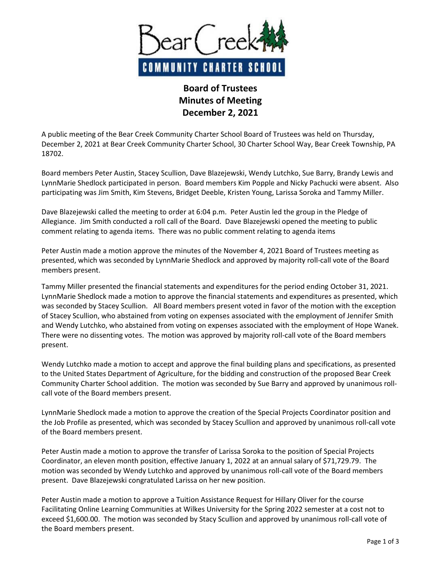

## **Board of Trustees Minutes of Meeting December 2, 2021**

A public meeting of the Bear Creek Community Charter School Board of Trustees was held on Thursday, December 2, 2021 at Bear Creek Community Charter School, 30 Charter School Way, Bear Creek Township, PA 18702.

Board members Peter Austin, Stacey Scullion, Dave Blazejewski, Wendy Lutchko, Sue Barry, Brandy Lewis and LynnMarie Shedlock participated in person. Board members Kim Popple and Nicky Pachucki were absent. Also participating was Jim Smith, Kim Stevens, Bridget Deeble, Kristen Young, Larissa Soroka and Tammy Miller.

Dave Blazejewski called the meeting to order at 6:04 p.m. Peter Austin led the group in the Pledge of Allegiance. Jim Smith conducted a roll call of the Board. Dave Blazejewski opened the meeting to public comment relating to agenda items. There was no public comment relating to agenda items

Peter Austin made a motion approve the minutes of the November 4, 2021 Board of Trustees meeting as presented, which was seconded by LynnMarie Shedlock and approved by majority roll-call vote of the Board members present.

Tammy Miller presented the financial statements and expenditures for the period ending October 31, 2021. LynnMarie Shedlock made a motion to approve the financial statements and expenditures as presented, which was seconded by Stacey Scullion. All Board members present voted in favor of the motion with the exception of Stacey Scullion, who abstained from voting on expenses associated with the employment of Jennifer Smith and Wendy Lutchko, who abstained from voting on expenses associated with the employment of Hope Wanek. There were no dissenting votes. The motion was approved by majority roll-call vote of the Board members present.

Wendy Lutchko made a motion to accept and approve the final building plans and specifications, as presented to the United States Department of Agriculture, for the bidding and construction of the proposed Bear Creek Community Charter School addition. The motion was seconded by Sue Barry and approved by unanimous rollcall vote of the Board members present.

LynnMarie Shedlock made a motion to approve the creation of the Special Projects Coordinator position and the Job Profile as presented, which was seconded by Stacey Scullion and approved by unanimous roll-call vote of the Board members present.

Peter Austin made a motion to approve the transfer of Larissa Soroka to the position of Special Projects Coordinator, an eleven month position, effective January 1, 2022 at an annual salary of \$71,729.79. The motion was seconded by Wendy Lutchko and approved by unanimous roll-call vote of the Board members present. Dave Blazejewski congratulated Larissa on her new position.

Peter Austin made a motion to approve a Tuition Assistance Request for Hillary Oliver for the course Facilitating Online Learning Communities at Wilkes University for the Spring 2022 semester at a cost not to exceed \$1,600.00. The motion was seconded by Stacy Scullion and approved by unanimous roll-call vote of the Board members present.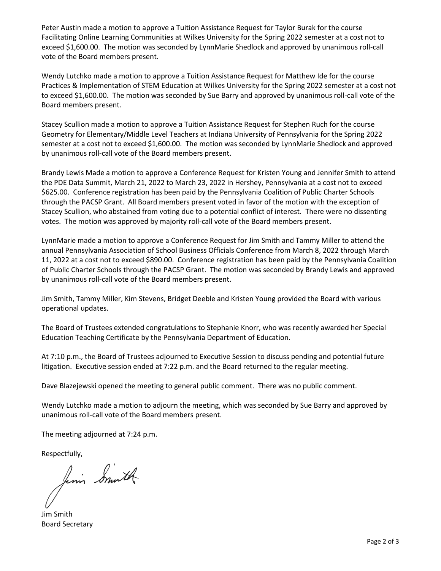Peter Austin made a motion to approve a Tuition Assistance Request for Taylor Burak for the course Facilitating Online Learning Communities at Wilkes University for the Spring 2022 semester at a cost not to exceed \$1,600.00. The motion was seconded by LynnMarie Shedlock and approved by unanimous roll-call vote of the Board members present.

Wendy Lutchko made a motion to approve a Tuition Assistance Request for Matthew Ide for the course Practices & Implementation of STEM Education at Wilkes University for the Spring 2022 semester at a cost not to exceed \$1,600.00. The motion was seconded by Sue Barry and approved by unanimous roll-call vote of the Board members present.

Stacey Scullion made a motion to approve a Tuition Assistance Request for Stephen Ruch for the course Geometry for Elementary/Middle Level Teachers at Indiana University of Pennsylvania for the Spring 2022 semester at a cost not to exceed \$1,600.00. The motion was seconded by LynnMarie Shedlock and approved by unanimous roll-call vote of the Board members present.

Brandy Lewis Made a motion to approve a Conference Request for Kristen Young and Jennifer Smith to attend the PDE Data Summit, March 21, 2022 to March 23, 2022 in Hershey, Pennsylvania at a cost not to exceed \$625.00. Conference registration has been paid by the Pennsylvania Coalition of Public Charter Schools through the PACSP Grant. All Board members present voted in favor of the motion with the exception of Stacey Scullion, who abstained from voting due to a potential conflict of interest. There were no dissenting votes. The motion was approved by majority roll-call vote of the Board members present.

LynnMarie made a motion to approve a Conference Request for Jim Smith and Tammy Miller to attend the annual Pennsylvania Association of School Business Officials Conference from March 8, 2022 through March 11, 2022 at a cost not to exceed \$890.00. Conference registration has been paid by the Pennsylvania Coalition of Public Charter Schools through the PACSP Grant. The motion was seconded by Brandy Lewis and approved by unanimous roll-call vote of the Board members present.

Jim Smith, Tammy Miller, Kim Stevens, Bridget Deeble and Kristen Young provided the Board with various operational updates.

The Board of Trustees extended congratulations to Stephanie Knorr, who was recently awarded her Special Education Teaching Certificate by the Pennsylvania Department of Education.

At 7:10 p.m., the Board of Trustees adjourned to Executive Session to discuss pending and potential future litigation. Executive session ended at 7:22 p.m. and the Board returned to the regular meeting.

Dave Blazejewski opened the meeting to general public comment. There was no public comment.

Wendy Lutchko made a motion to adjourn the meeting, which was seconded by Sue Barry and approved by unanimous roll-call vote of the Board members present.

The meeting adjourned at 7:24 p.m.

Respectfully,<br>finis Similar

Jim Smith Board Secretary